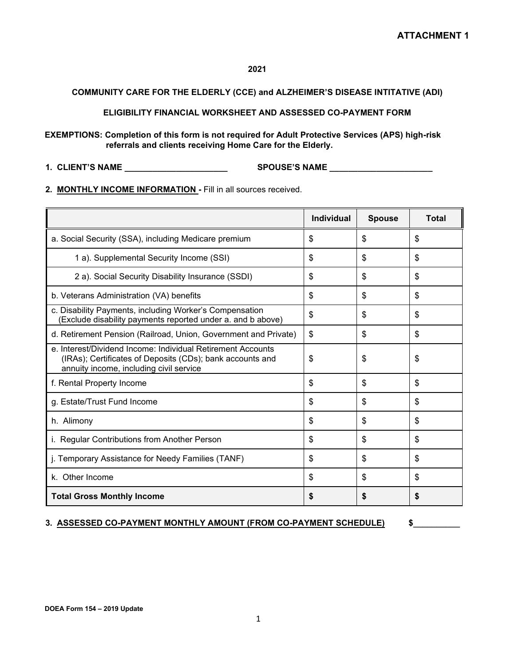## **2021**

## **COMMUNITY CARE FOR THE ELDERLY (CCE) and ALZHEIMER'S DISEASE INTITATIVE (ADI)**

**ELIGIBILITY FINANCIAL WORKSHEET AND ASSESSED CO-PAYMENT FORM** 

**EXEMPTIONS: Completion of this form is not required for Adult Protective Services (APS) high-risk referrals and clients receiving Home Care for the Elderly.**

**1. CLIENT'S NAME \_\_\_\_\_\_\_\_\_\_\_\_\_\_\_\_\_\_\_\_\_\_ SPOUSE'S NAME \_\_\_\_\_\_\_\_\_\_\_\_\_\_\_\_\_\_\_\_\_\_**

**2. MONTHLY INCOME INFORMATION -** Fill in all sources received.

|                                                                                                                                                                     | <b>Individual</b> | <b>Spouse</b> | Total |
|---------------------------------------------------------------------------------------------------------------------------------------------------------------------|-------------------|---------------|-------|
| a. Social Security (SSA), including Medicare premium                                                                                                                | \$                | \$            | \$    |
| 1 a). Supplemental Security Income (SSI)                                                                                                                            | \$                | \$            | \$    |
| 2 a). Social Security Disability Insurance (SSDI)                                                                                                                   | \$                | \$            | \$    |
| b. Veterans Administration (VA) benefits                                                                                                                            | \$                | \$            | \$    |
| c. Disability Payments, including Worker's Compensation<br>(Exclude disability payments reported under a. and b above)                                              | \$                | \$            | \$    |
| d. Retirement Pension (Railroad, Union, Government and Private)                                                                                                     | \$                | \$            | \$    |
| e. Interest/Dividend Income: Individual Retirement Accounts<br>(IRAs); Certificates of Deposits (CDs); bank accounts and<br>annuity income, including civil service | \$                | \$            | \$    |
| f. Rental Property Income                                                                                                                                           | \$                | \$            | \$    |
| g. Estate/Trust Fund Income                                                                                                                                         | \$                | \$            | \$    |
| h. Alimony                                                                                                                                                          | \$                | \$            | \$    |
| i. Regular Contributions from Another Person                                                                                                                        | \$                | \$            | \$    |
| j. Temporary Assistance for Needy Families (TANF)                                                                                                                   | \$                | \$            | \$    |
| k. Other Income                                                                                                                                                     | \$                | \$            | \$    |
| <b>Total Gross Monthly Income</b>                                                                                                                                   | S                 | S             | \$    |

## **3. ASSESSED CO-PAYMENT MONTHLY AMOUNT (FROM CO-PAYMENT SCHEDULE) \$**\_\_\_\_\_\_\_\_\_\_